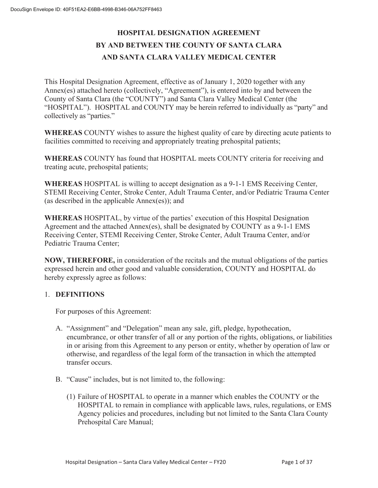## **HOSPITAL DESIGNATION AGREEMENT BY AND BETWEEN THE COUNTY OF SANTA CLARA AND SANTA CLARA VALLEY MEDICAL CENTER**

This Hospital Designation Agreement, effective as of January 1, 2020 together with any Annex(es) attached hereto (collectively, "Agreement"), is entered into by and between the County of Santa Clara (the "COUNTY") and Santa Clara Valley Medical Center (the "HOSPITAL"). HOSPITAL and COUNTY may be herein referred to individually as "party" and collectively as "parties."

**WHEREAS** COUNTY wishes to assure the highest quality of care by directing acute patients to facilities committed to receiving and appropriately treating prehospital patients;

**WHEREAS** COUNTY has found that HOSPITAL meets COUNTY criteria for receiving and treating acute, prehospital patients;

**WHEREAS** HOSPITAL is willing to accept designation as a 9-1-1 EMS Receiving Center, STEMI Receiving Center, Stroke Center, Adult Trauma Center, and/or Pediatric Trauma Center (as described in the applicable Annex(es)); and

**WHEREAS** HOSPITAL, by virtue of the parties' execution of this Hospital Designation Agreement and the attached Annex(es), shall be designated by COUNTY as a 9-1-1 EMS Receiving Center, STEMI Receiving Center, Stroke Center, Adult Trauma Center, and/or Pediatric Trauma Center;

**NOW, THEREFORE,** in consideration of the recitals and the mutual obligations of the parties expressed herein and other good and valuable consideration, COUNTY and HOSPITAL do hereby expressly agree as follows:

#### 1. **DEFINITIONS**

For purposes of this Agreement:

- A. "Assignment" and "Delegation" mean any sale, gift, pledge, hypothecation, encumbrance, or other transfer of all or any portion of the rights, obligations, or liabilities in or arising from this Agreement to any person or entity, whether by operation of law or otherwise, and regardless of the legal form of the transaction in which the attempted transfer occurs.
- B. "Cause" includes, but is not limited to, the following:
	- (1) Failure of HOSPITAL to operate in a manner which enables the COUNTY or the HOSPITAL to remain in compliance with applicable laws, rules, regulations, or EMS Agency policies and procedures, including but not limited to the Santa Clara County Prehospital Care Manual;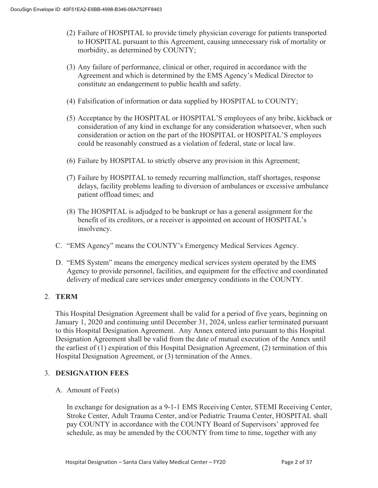- (2) Failure of HOSPITAL to provide timely physician coverage for patients transported to HOSPITAL pursuant to this Agreement, causing unnecessary risk of mortality or morbidity, as determined by COUNTY;
- (3) Any failure of performance, clinical or other, required in accordance with the Agreement and which is determined by the EMS Agency's Medical Director to constitute an endangerment to public health and safety.
- (4) Falsification of information or data supplied by HOSPITAL to COUNTY;
- (5) Acceptance by the HOSPITAL or HOSPITAL'S employees of any bribe, kickback or consideration of any kind in exchange for any consideration whatsoever, when such consideration or action on the part of the HOSPITAL or HOSPITAL'S employees could be reasonably construed as a violation of federal, state or local law.
- (6) Failure by HOSPITAL to strictly observe any provision in this Agreement;
- (7) Failure by HOSPITAL to remedy recurring malfunction, staff shortages, response delays, facility problems leading to diversion of ambulances or excessive ambulance patient offload times; and
- (8) The HOSPITAL is adjudged to be bankrupt or has a general assignment for the benefit of its creditors, or a receiver is appointed on account of HOSPITAL's insolvency.
- C. "EMS Agency" means the COUNTY's Emergency Medical Services Agency.
- D. "EMS System" means the emergency medical services system operated by the EMS Agency to provide personnel, facilities, and equipment for the effective and coordinated delivery of medical care services under emergency conditions in the COUNTY.

#### 2. **TERM**

This Hospital Designation Agreement shall be valid for a period of five years, beginning on January 1, 2020 and continuing until December 31, 2024, unless earlier terminated pursuant to this Hospital Designation Agreement. Any Annex entered into pursuant to this Hospital Designation Agreement shall be valid from the date of mutual execution of the Annex until the earliest of (1) expiration of this Hospital Designation Agreement, (2) termination of this Hospital Designation Agreement, or (3) termination of the Annex.

#### 3. **DESIGNATION FEES**

A. Amount of Fee(s)

In exchange for designation as a 9-1-1 EMS Receiving Center, STEMI Receiving Center, Stroke Center, Adult Trauma Center, and/or Pediatric Trauma Center, HOSPITAL shall pay COUNTY in accordance with the COUNTY Board of Supervisors' approved fee schedule, as may be amended by the COUNTY from time to time, together with any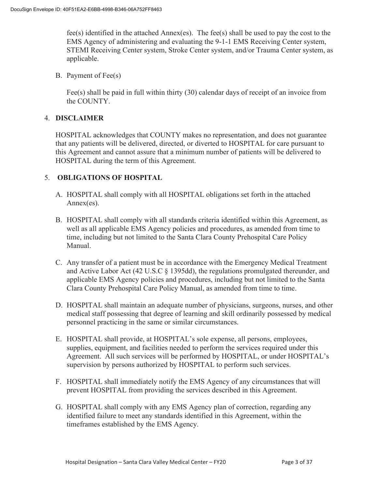fee(s) identified in the attached Annex(es). The fee(s) shall be used to pay the cost to the EMS Agency of administering and evaluating the 9-1-1 EMS Receiving Center system, STEMI Receiving Center system, Stroke Center system, and/or Trauma Center system, as applicable.

B. Payment of Fee(s)

Fee(s) shall be paid in full within thirty (30) calendar days of receipt of an invoice from the COUNTY.

#### 4. **DISCLAIMER**

HOSPITAL acknowledges that COUNTY makes no representation, and does not guarantee that any patients will be delivered, directed, or diverted to HOSPITAL for care pursuant to this Agreement and cannot assure that a minimum number of patients will be delivered to HOSPITAL during the term of this Agreement.

#### 5. **OBLIGATIONS OF HOSPITAL**

- A. HOSPITAL shall comply with all HOSPITAL obligations set forth in the attached Annex(es).
- B. HOSPITAL shall comply with all standards criteria identified within this Agreement, as well as all applicable EMS Agency policies and procedures, as amended from time to time, including but not limited to the Santa Clara County Prehospital Care Policy Manual.
- C. Any transfer of a patient must be in accordance with the Emergency Medical Treatment and Active Labor Act (42 U.S.C § 1395dd), the regulations promulgated thereunder, and applicable EMS Agency policies and procedures, including but not limited to the Santa Clara County Prehospital Care Policy Manual, as amended from time to time.
- D. HOSPITAL shall maintain an adequate number of physicians, surgeons, nurses, and other medical staff possessing that degree of learning and skill ordinarily possessed by medical personnel practicing in the same or similar circumstances.
- E. HOSPITAL shall provide, at HOSPITAL's sole expense, all persons, employees, supplies, equipment, and facilities needed to perform the services required under this Agreement. All such services will be performed by HOSPITAL, or under HOSPITAL's supervision by persons authorized by HOSPITAL to perform such services.
- F. HOSPITAL shall immediately notify the EMS Agency of any circumstances that will prevent HOSPITAL from providing the services described in this Agreement.
- G. HOSPITAL shall comply with any EMS Agency plan of correction, regarding any identified failure to meet any standards identified in this Agreement, within the timeframes established by the EMS Agency.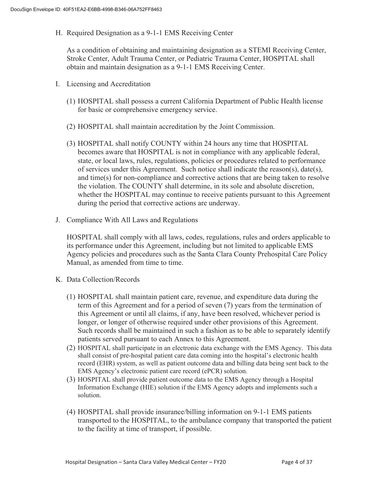H. Required Designation as a 9-1-1 EMS Receiving Center

As a condition of obtaining and maintaining designation as a STEMI Receiving Center, Stroke Center, Adult Trauma Center, or Pediatric Trauma Center, HOSPITAL shall obtain and maintain designation as a 9-1-1 EMS Receiving Center.

- I. Licensing and Accreditation
	- (1) HOSPITAL shall possess a current California Department of Public Health license for basic or comprehensive emergency service.
	- (2) HOSPITAL shall maintain accreditation by the Joint Commission.
	- (3) HOSPITAL shall notify COUNTY within 24 hours any time that HOSPITAL becomes aware that HOSPITAL is not in compliance with any applicable federal, state, or local laws, rules, regulations, policies or procedures related to performance of services under this Agreement. Such notice shall indicate the reason(s), date(s), and time(s) for non-compliance and corrective actions that are being taken to resolve the violation. The COUNTY shall determine, in its sole and absolute discretion, whether the HOSPITAL may continue to receive patients pursuant to this Agreement during the period that corrective actions are underway.
- J. Compliance With All Laws and Regulations

HOSPITAL shall comply with all laws, codes, regulations, rules and orders applicable to its performance under this Agreement, including but not limited to applicable EMS Agency policies and procedures such as the Santa Clara County Prehospital Care Policy Manual, as amended from time to time.

- K. Data Collection/Records
	- (1) HOSPITAL shall maintain patient care, revenue, and expenditure data during the term of this Agreement and for a period of seven (7) years from the termination of this Agreement or until all claims, if any, have been resolved, whichever period is longer, or longer of otherwise required under other provisions of this Agreement. Such records shall be maintained in such a fashion as to be able to separately identify patients served pursuant to each Annex to this Agreement.
	- (2) HOSPITAL shall participate in an electronic data exchange with the EMS Agency. This data shall consist of pre-hospital patient care data coming into the hospital's electronic health record (EHR) system, as well as patient outcome data and billing data being sent back to the EMS Agency's electronic patient care record (ePCR) solution.
	- (3) HOSPITAL shall provide patient outcome data to the EMS Agency through a Hospital Information Exchange (HIE) solution if the EMS Agency adopts and implements such a solution.
	- (4) HOSPITAL shall provide insurance/billing information on 9-1-1 EMS patients transported to the HOSPITAL, to the ambulance company that transported the patient to the facility at time of transport, if possible.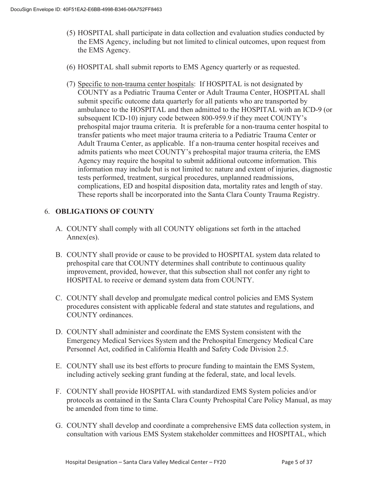- (5) HOSPITAL shall participate in data collection and evaluation studies conducted by the EMS Agency, including but not limited to clinical outcomes, upon request from the EMS Agency.
- (6) HOSPITAL shall submit reports to EMS Agency quarterly or as requested.
- (7) Specific to non-trauma center hospitals: If HOSPITAL is not designated by COUNTY as a Pediatric Trauma Center or Adult Trauma Center, HOSPITAL shall submit specific outcome data quarterly for all patients who are transported by ambulance to the HOSPITAL and then admitted to the HOSPITAL with an ICD-9 (or subsequent ICD-10) injury code between 800-959.9 if they meet COUNTY's prehospital major trauma criteria. It is preferable for a non-trauma center hospital to transfer patients who meet major trauma criteria to a Pediatric Trauma Center or Adult Trauma Center, as applicable. If a non-trauma center hospital receives and admits patients who meet COUNTY's prehospital major trauma criteria, the EMS Agency may require the hospital to submit additional outcome information. This information may include but is not limited to: nature and extent of injuries, diagnostic tests performed, treatment, surgical procedures, unplanned readmissions, complications, ED and hospital disposition data, mortality rates and length of stay. These reports shall be incorporated into the Santa Clara County Trauma Registry.

#### 6. **OBLIGATIONS OF COUNTY**

- A. COUNTY shall comply with all COUNTY obligations set forth in the attached Annex(es).
- B. COUNTY shall provide or cause to be provided to HOSPITAL system data related to prehospital care that COUNTY determines shall contribute to continuous quality improvement, provided, however, that this subsection shall not confer any right to HOSPITAL to receive or demand system data from COUNTY.
- C. COUNTY shall develop and promulgate medical control policies and EMS System procedures consistent with applicable federal and state statutes and regulations, and COUNTY ordinances.
- D. COUNTY shall administer and coordinate the EMS System consistent with the Emergency Medical Services System and the Prehospital Emergency Medical Care Personnel Act, codified in California Health and Safety Code Division 2.5.
- E. COUNTY shall use its best efforts to procure funding to maintain the EMS System, including actively seeking grant funding at the federal, state, and local levels.
- F. COUNTY shall provide HOSPITAL with standardized EMS System policies and/or protocols as contained in the Santa Clara County Prehospital Care Policy Manual, as may be amended from time to time.
- G. COUNTY shall develop and coordinate a comprehensive EMS data collection system, in consultation with various EMS System stakeholder committees and HOSPITAL, which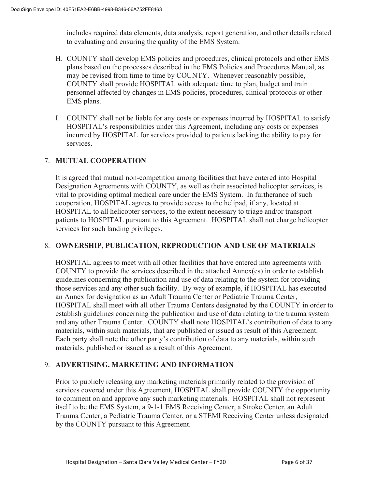includes required data elements, data analysis, report generation, and other details related to evaluating and ensuring the quality of the EMS System.

- H. COUNTY shall develop EMS policies and procedures, clinical protocols and other EMS plans based on the processes described in the EMS Policies and Procedures Manual, as may be revised from time to time by COUNTY. Whenever reasonably possible, COUNTY shall provide HOSPITAL with adequate time to plan, budget and train personnel affected by changes in EMS policies, procedures, clinical protocols or other EMS plans.
- I. COUNTY shall not be liable for any costs or expenses incurred by HOSPITAL to satisfy HOSPITAL's responsibilities under this Agreement, including any costs or expenses incurred by HOSPITAL for services provided to patients lacking the ability to pay for services.

#### 7. **MUTUAL COOPERATION**

It is agreed that mutual non-competition among facilities that have entered into Hospital Designation Agreements with COUNTY, as well as their associated helicopter services, is vital to providing optimal medical care under the EMS System. In furtherance of such cooperation, HOSPITAL agrees to provide access to the helipad, if any, located at HOSPITAL to all helicopter services, to the extent necessary to triage and/or transport patients to HOSPITAL pursuant to this Agreement. HOSPITAL shall not charge helicopter services for such landing privileges.

#### 8. **OWNERSHIP, PUBLICATION, REPRODUCTION AND USE OF MATERIALS**

HOSPITAL agrees to meet with all other facilities that have entered into agreements with COUNTY to provide the services described in the attached Annex(es) in order to establish guidelines concerning the publication and use of data relating to the system for providing those services and any other such facility. By way of example, if HOSPITAL has executed an Annex for designation as an Adult Trauma Center or Pediatric Trauma Center, HOSPITAL shall meet with all other Trauma Centers designated by the COUNTY in order to establish guidelines concerning the publication and use of data relating to the trauma system and any other Trauma Center. COUNTY shall note HOSPITAL's contribution of data to any materials, within such materials, that are published or issued as result of this Agreement. Each party shall note the other party's contribution of data to any materials, within such materials, published or issued as a result of this Agreement.

#### 9. **ADVERTISING, MARKETING AND INFORMATION**

Prior to publicly releasing any marketing materials primarily related to the provision of services covered under this Agreement, HOSPITAL shall provide COUNTY the opportunity to comment on and approve any such marketing materials. HOSPITAL shall not represent itself to be the EMS System, a 9-1-1 EMS Receiving Center, a Stroke Center, an Adult Trauma Center, a Pediatric Trauma Center, or a STEMI Receiving Center unless designated by the COUNTY pursuant to this Agreement.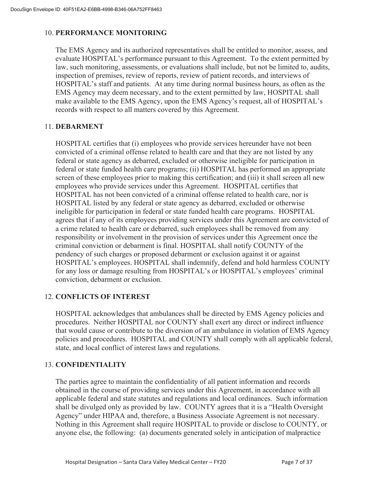#### 10. **PERFORMANCE MONITORING**

The EMS Agency and its authorized representatives shall be entitled to monitor, assess, and evaluate HOSPITAL's performance pursuant to this Agreement. To the extent permitted by law, such monitoring, assessments, or evaluations shall include, but not be limited to, audits, inspection of premises, review of reports, review of patient records, and interviews of HOSPITAL's staff and patients. At any time during normal business hours, as often as the EMS Agency may deem necessary, and to the extent permitted by law, HOSPITAL shall make available to the EMS Agency, upon the EMS Agency's request, all of HOSPITAL's records with respect to all matters covered by this Agreement.

#### 11. **DEBARMENT**

HOSPITAL certifies that (i) employees who provide services hereunder have not been convicted of a criminal offense related to health care and that they are not listed by any federal or state agency as debarred, excluded or otherwise ineligible for participation in federal or state funded health care programs; (ii) HOSPITAL has performed an appropriate screen of these employees prior to making this certification; and (iii) it shall screen all new employees who provide services under this Agreement. HOSPITAL certifies that HOSPITAL has not been convicted of a criminal offense related to health care, nor is HOSPITAL listed by any federal or state agency as debarred, excluded or otherwise ineligible for participation in federal or state funded health care programs. HOSPITAL agrees that if any of its employees providing services under this Agreement are convicted of a crime related to health care or debarred, such employees shall be removed from any responsibility or involvement in the provision of services under this Agreement once the criminal conviction or debarment is final. HOSPITAL shall notify COUNTY of the pendency of such charges or proposed debarment or exclusion against it or against HOSPITAL's employees. HOSPITAL shall indemnify, defend and hold harmless COUNTY for any loss or damage resulting from HOSPITAL's or HOSPITAL's employees' criminal conviction, debarment or exclusion.

#### 12. **CONFLICTS OF INTEREST**

HOSPITAL acknowledges that ambulances shall be directed by EMS Agency policies and procedures. Neither HOSPITAL nor COUNTY shall exert any direct or indirect influence that would cause or contribute to the diversion of an ambulance in violation of EMS Agency policies and procedures. HOSPITAL and COUNTY shall comply with all applicable federal, state, and local conflict of interest laws and regulations.

#### 13. **CONFIDENTIALITY**

The parties agree to maintain the confidentiality of all patient information and records obtained in the course of providing services under this Agreement, in accordance with all applicable federal and state statutes and regulations and local ordinances. Such information shall be divulged only as provided by law. COUNTY agrees that it is a "Health Oversight Agency" under HIPAA and, therefore, a Business Associate Agreement is not necessary. Nothing in this Agreement shall require HOSPITAL to provide or disclose to COUNTY, or anyone else, the following: (a) documents generated solely in anticipation of malpractice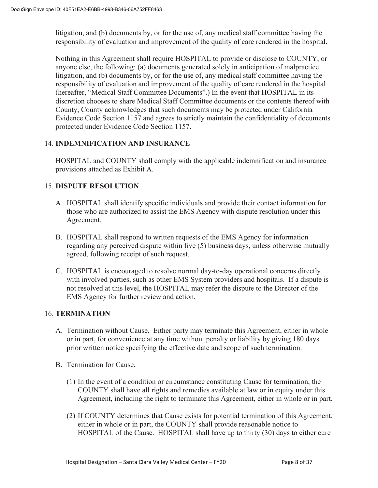litigation, and (b) documents by, or for the use of, any medical staff committee having the responsibility of evaluation and improvement of the quality of care rendered in the hospital.

Nothing in this Agreement shall require HOSPITAL to provide or disclose to COUNTY, or anyone else, the following: (a) documents generated solely in anticipation of malpractice litigation, and (b) documents by, or for the use of, any medical staff committee having the responsibility of evaluation and improvement of the quality of care rendered in the hospital (hereafter, "Medical Staff Committee Documents".) In the event that HOSPITAL in its discretion chooses to share Medical Staff Committee documents or the contents thereof with County, County acknowledges that such documents may be protected under California Evidence Code Section 1157 and agrees to strictly maintain the confidentiality of documents protected under Evidence Code Section 1157.

#### 14. **INDEMNIFICATION AND INSURANCE**

HOSPITAL and COUNTY shall comply with the applicable indemnification and insurance provisions attached as Exhibit A.

#### 15. **DISPUTE RESOLUTION**

- A. HOSPITAL shall identify specific individuals and provide their contact information for those who are authorized to assist the EMS Agency with dispute resolution under this Agreement.
- B. HOSPITAL shall respond to written requests of the EMS Agency for information regarding any perceived dispute within five (5) business days, unless otherwise mutually agreed, following receipt of such request.
- C. HOSPITAL is encouraged to resolve normal day-to-day operational concerns directly with involved parties, such as other EMS System providers and hospitals. If a dispute is not resolved at this level, the HOSPITAL may refer the dispute to the Director of the EMS Agency for further review and action.

#### 16. **TERMINATION**

- A. Termination without Cause. Either party may terminate this Agreement, either in whole or in part, for convenience at any time without penalty or liability by giving 180 days prior written notice specifying the effective date and scope of such termination.
- B. Termination for Cause.
	- (1) In the event of a condition or circumstance constituting Cause for termination, the COUNTY shall have all rights and remedies available at law or in equity under this Agreement, including the right to terminate this Agreement, either in whole or in part.
	- (2) If COUNTY determines that Cause exists for potential termination of this Agreement, either in whole or in part, the COUNTY shall provide reasonable notice to HOSPITAL of the Cause. HOSPITAL shall have up to thirty (30) days to either cure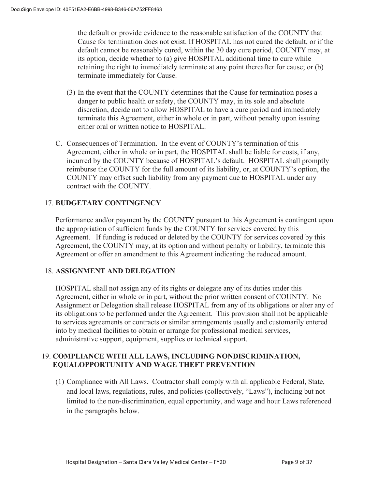the default or provide evidence to the reasonable satisfaction of the COUNTY that Cause for termination does not exist. If HOSPITAL has not cured the default, or if the default cannot be reasonably cured, within the 30 day cure period, COUNTY may, at its option, decide whether to (a) give HOSPITAL additional time to cure while retaining the right to immediately terminate at any point thereafter for cause; or (b) terminate immediately for Cause.

- (3) In the event that the COUNTY determines that the Cause for termination poses a danger to public health or safety, the COUNTY may, in its sole and absolute discretion, decide not to allow HOSPITAL to have a cure period and immediately terminate this Agreement, either in whole or in part, without penalty upon issuing either oral or written notice to HOSPITAL.
- C. Consequences of Termination. In the event of COUNTY's termination of this Agreement, either in whole or in part, the HOSPITAL shall be liable for costs, if any, incurred by the COUNTY because of HOSPITAL's default. HOSPITAL shall promptly reimburse the COUNTY for the full amount of its liability, or, at COUNTY's option, the COUNTY may offset such liability from any payment due to HOSPITAL under any contract with the COUNTY.

#### 17. **BUDGETARY CONTINGENCY**

Performance and/or payment by the COUNTY pursuant to this Agreement is contingent upon the appropriation of sufficient funds by the COUNTY for services covered by this Agreement. If funding is reduced or deleted by the COUNTY for services covered by this Agreement, the COUNTY may, at its option and without penalty or liability, terminate this Agreement or offer an amendment to this Agreement indicating the reduced amount.

#### 18. **ASSIGNMENT AND DELEGATION**

HOSPITAL shall not assign any of its rights or delegate any of its duties under this Agreement, either in whole or in part, without the prior written consent of COUNTY. No Assignment or Delegation shall release HOSPITAL from any of its obligations or alter any of its obligations to be performed under the Agreement. This provision shall not be applicable to services agreements or contracts or similar arrangements usually and customarily entered into by medical facilities to obtain or arrange for professional medical services, administrative support, equipment, supplies or technical support.

#### 19. **COMPLIANCE WITH ALL LAWS, INCLUDING NONDISCRIMINATION, EQUALOPPORTUNITY AND WAGE THEFT PREVENTION**

(1) Compliance with All Laws. Contractor shall comply with all applicable Federal, State, and local laws, regulations, rules, and policies (collectively, "Laws"), including but not limited to the non-discrimination, equal opportunity, and wage and hour Laws referenced in the paragraphs below.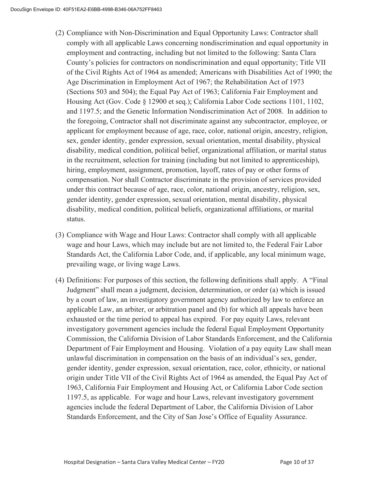- (2) Compliance with Non-Discrimination and Equal Opportunity Laws: Contractor shall comply with all applicable Laws concerning nondiscrimination and equal opportunity in employment and contracting, including but not limited to the following: Santa Clara County's policies for contractors on nondiscrimination and equal opportunity; Title VII of the Civil Rights Act of 1964 as amended; Americans with Disabilities Act of 1990; the Age Discrimination in Employment Act of 1967; the Rehabilitation Act of 1973 (Sections 503 and 504); the Equal Pay Act of 1963; California Fair Employment and Housing Act (Gov. Code § 12900 et seq.); California Labor Code sections 1101, 1102, and 1197.5; and the Genetic Information Nondiscrimination Act of 2008. In addition to the foregoing, Contractor shall not discriminate against any subcontractor, employee, or applicant for employment because of age, race, color, national origin, ancestry, religion, sex, gender identity, gender expression, sexual orientation, mental disability, physical disability, medical condition, political belief, organizational affiliation, or marital status in the recruitment, selection for training (including but not limited to apprenticeship), hiring, employment, assignment, promotion, layoff, rates of pay or other forms of compensation. Nor shall Contractor discriminate in the provision of services provided under this contract because of age, race, color, national origin, ancestry, religion, sex, gender identity, gender expression, sexual orientation, mental disability, physical disability, medical condition, political beliefs, organizational affiliations, or marital status.
- (3) Compliance with Wage and Hour Laws: Contractor shall comply with all applicable wage and hour Laws, which may include but are not limited to, the Federal Fair Labor Standards Act, the California Labor Code, and, if applicable, any local minimum wage, prevailing wage, or living wage Laws.
- (4) Definitions: For purposes of this section, the following definitions shall apply. A "Final Judgment" shall mean a judgment, decision, determination, or order (a) which is issued by a court of law, an investigatory government agency authorized by law to enforce an applicable Law, an arbiter, or arbitration panel and (b) for which all appeals have been exhausted or the time period to appeal has expired. For pay equity Laws, relevant investigatory government agencies include the federal Equal Employment Opportunity Commission, the California Division of Labor Standards Enforcement, and the California Department of Fair Employment and Housing. Violation of a pay equity Law shall mean unlawful discrimination in compensation on the basis of an individual's sex, gender, gender identity, gender expression, sexual orientation, race, color, ethnicity, or national origin under Title VII of the Civil Rights Act of 1964 as amended, the Equal Pay Act of 1963, California Fair Employment and Housing Act, or California Labor Code section 1197.5, as applicable. For wage and hour Laws, relevant investigatory government agencies include the federal Department of Labor, the California Division of Labor Standards Enforcement, and the City of San Jose's Office of Equality Assurance.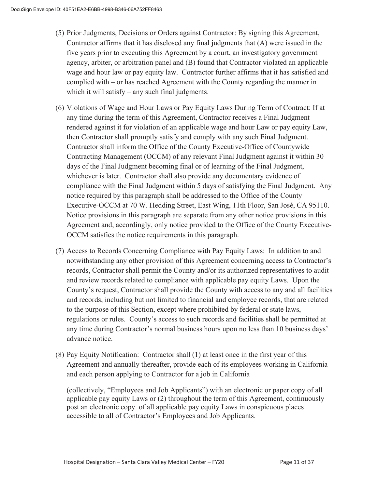- (5) Prior Judgments, Decisions or Orders against Contractor: By signing this Agreement, Contractor affirms that it has disclosed any final judgments that (A) were issued in the five years prior to executing this Agreement by a court, an investigatory government agency, arbiter, or arbitration panel and (B) found that Contractor violated an applicable wage and hour law or pay equity law. Contractor further affirms that it has satisfied and complied with – or has reached Agreement with the County regarding the manner in which it will satisfy – any such final judgments.
- (6) Violations of Wage and Hour Laws or Pay Equity Laws During Term of Contract: If at any time during the term of this Agreement, Contractor receives a Final Judgment rendered against it for violation of an applicable wage and hour Law or pay equity Law, then Contractor shall promptly satisfy and comply with any such Final Judgment. Contractor shall inform the Office of the County Executive-Office of Countywide Contracting Management (OCCM) of any relevant Final Judgment against it within 30 days of the Final Judgment becoming final or of learning of the Final Judgment, whichever is later. Contractor shall also provide any documentary evidence of compliance with the Final Judgment within 5 days of satisfying the Final Judgment. Any notice required by this paragraph shall be addressed to the Office of the County Executive-OCCM at 70 W. Hedding Street, East Wing, 11th Floor, San José, CA 95110. Notice provisions in this paragraph are separate from any other notice provisions in this Agreement and, accordingly, only notice provided to the Office of the County Executive-OCCM satisfies the notice requirements in this paragraph.
- (7) Access to Records Concerning Compliance with Pay Equity Laws: In addition to and notwithstanding any other provision of this Agreement concerning access to Contractor's records, Contractor shall permit the County and/or its authorized representatives to audit and review records related to compliance with applicable pay equity Laws. Upon the County's request, Contractor shall provide the County with access to any and all facilities and records, including but not limited to financial and employee records, that are related to the purpose of this Section, except where prohibited by federal or state laws, regulations or rules. County's access to such records and facilities shall be permitted at any time during Contractor's normal business hours upon no less than 10 business days' advance notice.
- (8) Pay Equity Notification: Contractor shall (1) at least once in the first year of this Agreement and annually thereafter, provide each of its employees working in California and each person applying to Contractor for a job in California

(collectively, "Employees and Job Applicants") with an electronic or paper copy of all applicable pay equity Laws or (2) throughout the term of this Agreement, continuously post an electronic copy of all applicable pay equity Laws in conspicuous places accessible to all of Contractor's Employees and Job Applicants.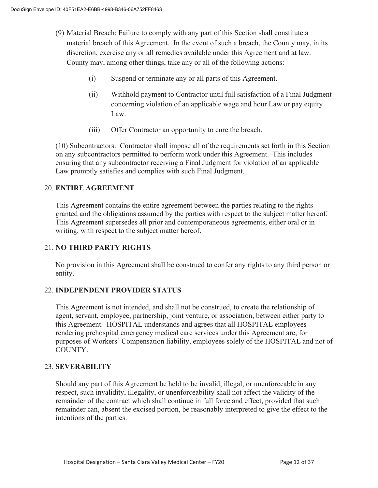- (9) Material Breach: Failure to comply with any part of this Section shall constitute a material breach of this Agreement. In the event of such a breach, the County may, in its discretion, exercise any or all remedies available under this Agreement and at law. County may, among other things, take any or all of the following actions:
	- (i) Suspend or terminate any or all parts of this Agreement.
	- (ii) Withhold payment to Contractor until full satisfaction of a Final Judgment concerning violation of an applicable wage and hour Law or pay equity Law.
	- (iii) Offer Contractor an opportunity to cure the breach.

(10) Subcontractors: Contractor shall impose all of the requirements set forth in this Section on any subcontractors permitted to perform work under this Agreement. This includes ensuring that any subcontractor receiving a Final Judgment for violation of an applicable Law promptly satisfies and complies with such Final Judgment.

#### 20. **ENTIRE AGREEMENT**

 This Agreement contains the entire agreement between the parties relating to the rights granted and the obligations assumed by the parties with respect to the subject matter hereof. This Agreement supersedes all prior and contemporaneous agreements, either oral or in writing, with respect to the subject matter hereof.

#### 21. **NO THIRD PARTY RIGHTS**

No provision in this Agreement shall be construed to confer any rights to any third person or entity.

#### 22. **INDEPENDENT PROVIDER STATUS**

This Agreement is not intended, and shall not be construed, to create the relationship of agent, servant, employee, partnership, joint venture, or association, between either party to this Agreement. HOSPITAL understands and agrees that all HOSPITAL employees rendering prehospital emergency medical care services under this Agreement are, for purposes of Workers' Compensation liability, employees solely of the HOSPITAL and not of COUNTY.

#### 23. **SEVERABILITY**

Should any part of this Agreement be held to be invalid, illegal, or unenforceable in any respect, such invalidity, illegality, or unenforceability shall not affect the validity of the remainder of the contract which shall continue in full force and effect, provided that such remainder can, absent the excised portion, be reasonably interpreted to give the effect to the intentions of the parties.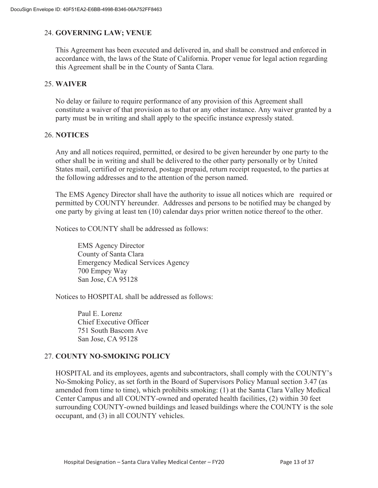#### 24. **GOVERNING LAW; VENUE**

This Agreement has been executed and delivered in, and shall be construed and enforced in accordance with, the laws of the State of California. Proper venue for legal action regarding this Agreement shall be in the County of Santa Clara.

#### 25. **WAIVER**

No delay or failure to require performance of any provision of this Agreement shall constitute a waiver of that provision as to that or any other instance. Any waiver granted by a party must be in writing and shall apply to the specific instance expressly stated.

#### 26. **NOTICES**

Any and all notices required, permitted, or desired to be given hereunder by one party to the other shall be in writing and shall be delivered to the other party personally or by United States mail, certified or registered, postage prepaid, return receipt requested, to the parties at the following addresses and to the attention of the person named.

The EMS Agency Director shall have the authority to issue all notices which are required or permitted by COUNTY hereunder. Addresses and persons to be notified may be changed by one party by giving at least ten (10) calendar days prior written notice thereof to the other.

Notices to COUNTY shall be addressed as follows:

EMS Agency Director County of Santa Clara Emergency Medical Services Agency 700 Empey Way San Jose, CA 95128

Notices to HOSPITAL shall be addressed as follows:

Paul E. Lorenz Chief Executive Officer 751 South Bascom Ave San Jose, CA 95128

#### 27. **COUNTY NO-SMOKING POLICY**

HOSPITAL and its employees, agents and subcontractors, shall comply with the COUNTY's No-Smoking Policy, as set forth in the Board of Supervisors Policy Manual section 3.47 (as amended from time to time), which prohibits smoking: (1) at the Santa Clara Valley Medical Center Campus and all COUNTY-owned and operated health facilities, (2) within 30 feet surrounding COUNTY-owned buildings and leased buildings where the COUNTY is the sole occupant, and (3) in all COUNTY vehicles.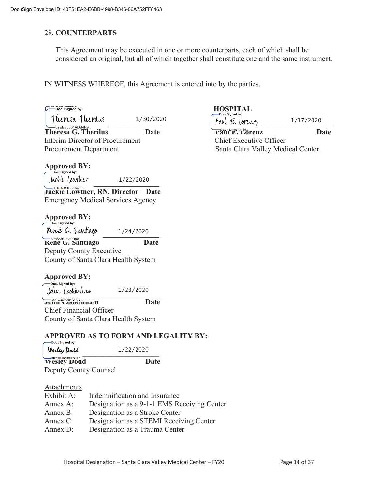#### 28. **COUNTERPARTS**

This Agreement may be executed in one or more counterparts, each of which shall be considered an original, but all of which together shall constitute one and the same instrument.

IN WITNESS WHEREOF, this Agreement is entered into by the parties.

1/30/2020

 $\left[ \begin{array}{ccc} \text{MUCM} & \text{MUCM} \end{array} \right]$ **Theresa G. Therilus Date** Date Paul E. Lorenz Date Date **Paul E. Lorenz Date** Interim Director of Procurement Chief Executive Officer

# **Approved BY:**

 $\frac{1}{222220}$ 1/22/2020

**Jackie Lowther, RN, Director Date** Emergency Medical Services Agency

## **Approved BY:**<br> **C**Docusigned by:

 $T/24/2020$ **Rene G. Santiago Date**  Deputy County Executive County of Santa Clara Health System 1/24/2020

# **Approved BY:**<br>—DocuSigned by:

  $J$ our Lookiniam  $1/23/2020$ 1/23/2020

**John Cookinham Date** Chief Financial Officer County of Santa Clara Health System

#### **APPROVED AS TO FORM AND LEGALITY BY:**

| <b>DOUGHLAIR</b><br>Wesley Dodd | 1/22/2020 |
|---------------------------------|-----------|
| Wesley Dodd                     | Date      |

Deputy County Counsel

#### Attachments

| Exhibit A: | Indemnification and Insurance               |
|------------|---------------------------------------------|
| Annex A:   | Designation as a 9-1-1 EMS Receiving Center |
| Annex B:   | Designation as a Stroke Center              |
| Annex C:   | Designation as a STEMI Receiving Center     |
| Annex D:   | Designation as a Trauma Center              |

# $\begin{array}{c}\n\text{Docusigned by:} \\
\text{Docusigned by:}\n\end{array}\n\begin{array}{c}\n\text{HOSPITAL} \\
\text{Docusigned by:}\n\end{array}$

1/17/2020

Procurement Department New Santa Clara Valley Medical Center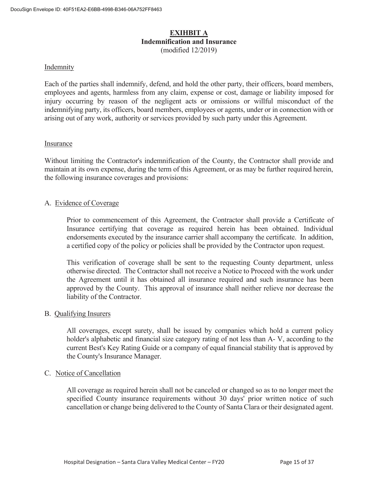#### **EXIHBIT A Indemnification and Insurance**  (modified 12/2019)

#### Indemnity

Each of the parties shall indemnify, defend, and hold the other party, their officers, board members, employees and agents, harmless from any claim, expense or cost, damage or liability imposed for injury occurring by reason of the negligent acts or omissions or willful misconduct of the indemnifying party, its officers, board members, employees or agents, under or in connection with or arising out of any work, authority or services provided by such party under this Agreement.

#### Insurance

Without limiting the Contractor's indemnification of the County, the Contractor shall provide and maintain at its own expense, during the term of this Agreement, or as may be further required herein, the following insurance coverages and provisions:

#### A. Evidence of Coverage

 Prior to commencement of this Agreement, the Contractor shall provide a Certificate of Insurance certifying that coverage as required herein has been obtained. Individual endorsements executed by the insurance carrier shall accompany the certificate. In addition, a certified copy of the policy or policies shall be provided by the Contractor upon request.

 This verification of coverage shall be sent to the requesting County department, unless otherwise directed. The Contractor shall not receive a Notice to Proceed with the work under the Agreement until it has obtained all insurance required and such insurance has been approved by the County. This approval of insurance shall neither relieve nor decrease the liability of the Contractor.

#### B. Qualifying Insurers

 All coverages, except surety, shall be issued by companies which hold a current policy holder's alphabetic and financial size category rating of not less than A- V, according to the current Best's Key Rating Guide or a company of equal financial stability that is approved by the County's Insurance Manager.

#### C. Notice of Cancellation

All coverage as required herein shall not be canceled or changed so as to no longer meet the specified County insurance requirements without 30 days' prior written notice of such cancellation or change being delivered to the County of Santa Clara or their designated agent.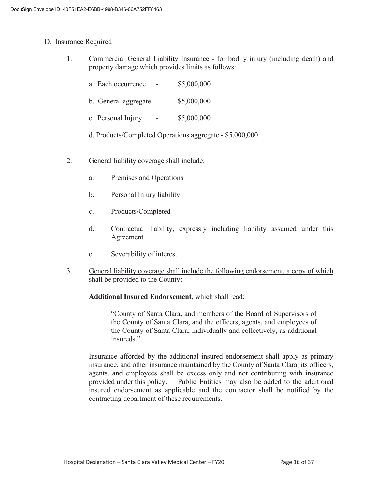#### D. Insurance Required

- 1. Commercial General Liability Insurance for bodily injury (including death) and property damage which provides limits as follows:
	- a. Each occurrence \$5,000,000
	- b. General aggregate \$5,000,000
	- c. Personal Injury \$5,000,000
	- d. Products/Completed Operations aggregate \$5,000,000
- 2. General liability coverage shall include:
	- a. Premises and Operations
	- b. Personal Injury liability
	- c. Products/Completed
	- d. Contractual liability, expressly including liability assumed under this Agreement
	- e. Severability of interest
- 3. General liability coverage shall include the following endorsement, a copy of which shall be provided to the County:

#### **Additional Insured Endorsement,** which shall read:

 "County of Santa Clara, and members of the Board of Supervisors of the County of Santa Clara, and the officers, agents, and employees of the County of Santa Clara, individually and collectively, as additional insureds."

 Insurance afforded by the additional insured endorsement shall apply as primary insurance, and other insurance maintained by the County of Santa Clara, its officers, agents, and employees shall be excess only and not contributing with insurance provided under this policy. Public Entities may also be added to the additional insured endorsement as applicable and the contractor shall be notified by the contracting department of these requirements.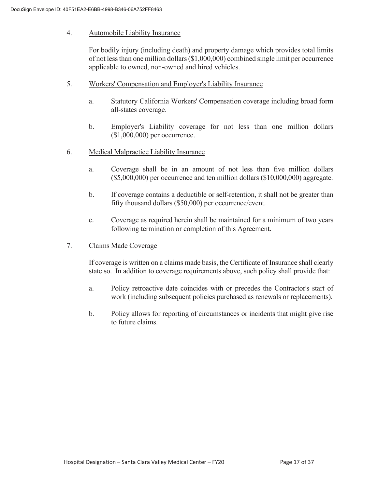#### 4. Automobile Liability Insurance

 For bodily injury (including death) and property damage which provides total limits of not less than one million dollars (\$1,000,000) combined single limit per occurrence applicable to owned, non-owned and hired vehicles.

- 5. Workers' Compensation and Employer's Liability Insurance
	- a. Statutory California Workers' Compensation coverage including broad form all-states coverage.
	- b. Employer's Liability coverage for not less than one million dollars (\$1,000,000) per occurrence.
- 6. Medical Malpractice Liability Insurance
	- a. Coverage shall be in an amount of not less than five million dollars (\$5,000,000) per occurrence and ten million dollars (\$10,000,000) aggregate.
	- b. If coverage contains a deductible or self-retention, it shall not be greater than fifty thousand dollars (\$50,000) per occurrence/event.
	- c. Coverage as required herein shall be maintained for a minimum of two years following termination or completion of this Agreement.
- 7. Claims Made Coverage

 If coverage is written on a claims made basis, the Certificate of Insurance shall clearly state so. In addition to coverage requirements above, such policy shall provide that:

- a. Policy retroactive date coincides with or precedes the Contractor's start of work (including subsequent policies purchased as renewals or replacements).
- b. Policy allows for reporting of circumstances or incidents that might give rise to future claims.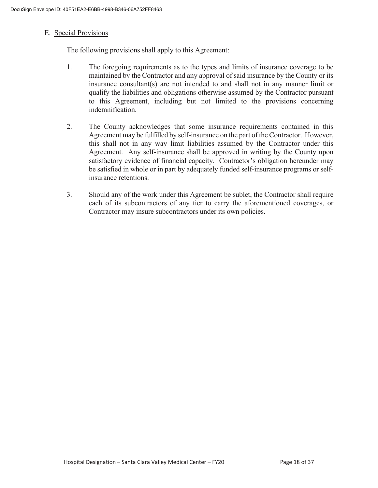#### E. Special Provisions

The following provisions shall apply to this Agreement:

- 1. The foregoing requirements as to the types and limits of insurance coverage to be maintained by the Contractor and any approval of said insurance by the County or its insurance consultant(s) are not intended to and shall not in any manner limit or qualify the liabilities and obligations otherwise assumed by the Contractor pursuant to this Agreement, including but not limited to the provisions concerning indemnification.
- 2. The County acknowledges that some insurance requirements contained in this Agreement may be fulfilled by self-insurance on the part of the Contractor. However, this shall not in any way limit liabilities assumed by the Contractor under this Agreement. Any self-insurance shall be approved in writing by the County upon satisfactory evidence of financial capacity. Contractor's obligation hereunder may be satisfied in whole or in part by adequately funded self-insurance programs or selfinsurance retentions.
- 3. Should any of the work under this Agreement be sublet, the Contractor shall require each of its subcontractors of any tier to carry the aforementioned coverages, or Contractor may insure subcontractors under its own policies.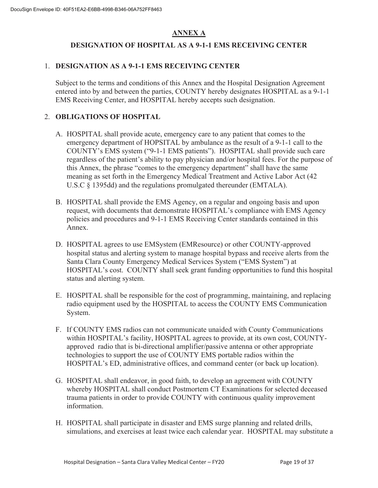### **ANNEX A**

#### **DESIGNATION OF HOSPITAL AS A 9-1-1 EMS RECEIVING CENTER**

#### 1. **DESIGNATION AS A 9-1-1 EMS RECEIVING CENTER**

Subject to the terms and conditions of this Annex and the Hospital Designation Agreement entered into by and between the parties, COUNTY hereby designates HOSPITAL as a 9-1-1 EMS Receiving Center, and HOSPITAL hereby accepts such designation.

#### 2. **OBLIGATIONS OF HOSPITAL**

- A. HOSPITAL shall provide acute, emergency care to any patient that comes to the emergency department of HOPSITAL by ambulance as the result of a 9-1-1 call to the COUNTY's EMS system ("9-1-1 EMS patients"). HOSPITAL shall provide such care regardless of the patient's ability to pay physician and/or hospital fees. For the purpose of this Annex, the phrase "comes to the emergency department" shall have the same meaning as set forth in the Emergency Medical Treatment and Active Labor Act (42 U.S.C § 1395dd) and the regulations promulgated thereunder (EMTALA).
- B. HOSPITAL shall provide the EMS Agency, on a regular and ongoing basis and upon request, with documents that demonstrate HOSPITAL's compliance with EMS Agency policies and procedures and 9-1-1 EMS Receiving Center standards contained in this Annex.
- D. HOSPITAL agrees to use EMSystem (EMResource) or other COUNTY-approved hospital status and alerting system to manage hospital bypass and receive alerts from the Santa Clara County Emergency Medical Services System ("EMS System") at HOSPITAL's cost. COUNTY shall seek grant funding opportunities to fund this hospital status and alerting system.
- E. HOSPITAL shall be responsible for the cost of programming, maintaining, and replacing radio equipment used by the HOSPITAL to access the COUNTY EMS Communication System.
- F. If COUNTY EMS radios can not communicate unaided with County Communications within HOSPITAL's facility, HOSPITAL agrees to provide, at its own cost, COUNTYapproved radio that is bi-directional amplifier/passive antenna or other appropriate technologies to support the use of COUNTY EMS portable radios within the HOSPITAL's ED, administrative offices, and command center (or back up location).
- G. HOSPITAL shall endeavor, in good faith, to develop an agreement with COUNTY whereby HOSPITAL shall conduct Postmortem CT Examinations for selected deceased trauma patients in order to provide COUNTY with continuous quality improvement information.
- H. HOSPITAL shall participate in disaster and EMS surge planning and related drills, simulations, and exercises at least twice each calendar year. HOSPITAL may substitute a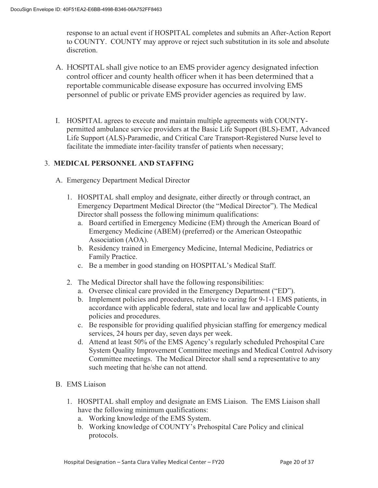response to an actual event if HOSPITAL completes and submits an After-Action Report to COUNTY. COUNTY may approve or reject such substitution in its sole and absolute discretion.

- A. HOSPITAL shall give notice to an EMS provider agency designated infection control officer and county health officer when it has been determined that a reportable communicable disease exposure has occurred involving EMS personnel of public or private EMS provider agencies as required by law.
- I. HOSPITAL agrees to execute and maintain multiple agreements with COUNTYpermitted ambulance service providers at the Basic Life Support (BLS)-EMT, Advanced Life Support (ALS)-Paramedic, and Critical Care Transport-Registered Nurse level to facilitate the immediate inter-facility transfer of patients when necessary;

#### 3. **MEDICAL PERSONNEL AND STAFFING**

- A. Emergency Department Medical Director
	- 1. HOSPITAL shall employ and designate, either directly or through contract, an Emergency Department Medical Director (the "Medical Director"). The Medical Director shall possess the following minimum qualifications:
		- a. Board certified in Emergency Medicine (EM) through the American Board of Emergency Medicine (ABEM) (preferred) or the American Osteopathic Association (AOA).
		- b. Residency trained in Emergency Medicine, Internal Medicine, Pediatrics or Family Practice.
		- c. Be a member in good standing on HOSPITAL's Medical Staff.
	- 2. The Medical Director shall have the following responsibilities:
		- a. Oversee clinical care provided in the Emergency Department ("ED").
		- b. Implement policies and procedures, relative to caring for 9-1-1 EMS patients, in accordance with applicable federal, state and local law and applicable County policies and procedures.
		- c. Be responsible for providing qualified physician staffing for emergency medical services, 24 hours per day, seven days per week.
		- d. Attend at least 50% of the EMS Agency's regularly scheduled Prehospital Care System Quality Improvement Committee meetings and Medical Control Advisory Committee meetings. The Medical Director shall send a representative to any such meeting that he/she can not attend.
- B. EMS Liaison
	- 1. HOSPITAL shall employ and designate an EMS Liaison. The EMS Liaison shall have the following minimum qualifications:
		- a. Working knowledge of the EMS System.
		- b. Working knowledge of COUNTY's Prehospital Care Policy and clinical protocols.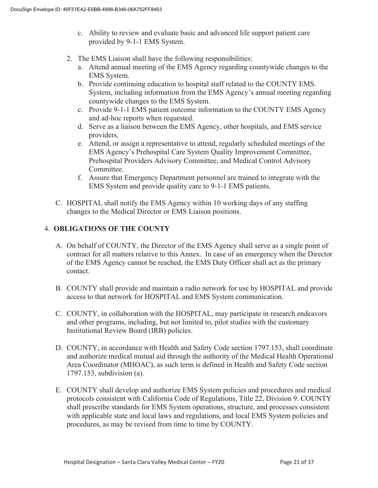- c. Ability to review and evaluate basic and advanced life support patient care provided by 9-1-1 EMS System.
- 2. The EMS Liaison shall have the following responsibilities:
	- a. Attend annual meeting of the EMS Agency regarding countywide changes to the EMS System.
	- b. Provide continuing education to hospital staff related to the COUNTY EMS. System, including information from the EMS Agency's annual meeting regarding countywide changes to the EMS System.
	- c. Provide 9-1-1 EMS patient outcome information to the COUNTY EMS Agency and ad-hoc reports when requested.
	- d. Serve as a liaison between the EMS Agency, other hospitals, and EMS service providers.
	- e. Attend, or assign a representative to attend, regularly scheduled meetings of the EMS Agency's Prehospital Care System Quality Improvement Committee, Prehospital Providers Advisory Committee, and Medical Control Advisory Committee.
	- f. Assure that Emergency Department personnel are trained to integrate with the EMS System and provide quality care to 9-1-1 EMS patients.
- C. HOSPITAL shall notify the EMS Agency within 10 working days of any staffing changes to the Medical Director or EMS Liaison positions.

#### 4. **OBLIGATIONS OF THE COUNTY**

- A. On behalf of COUNTY, the Director of the EMS Agency shall serve as a single point of contract for all matters relative to this Annex. In case of an emergency when the Director of the EMS Agency cannot be reached, the EMS Duty Officer shall act as the primary contact.
- B. COUNTY shall provide and maintain a radio network for use by HOSPITAL and provide access to that network for HOSPITAL and EMS System communication.
- C. COUNTY, in collaboration with the HOSPITAL, may participate in research endeavors and other programs, including, but not limited to, pilot studies with the customary Institutional Review Board (IRB) policies.
- D. COUNTY, in accordance with Health and Safety Code section 1797.153, shall coordinate and authorize medical mutual aid through the authority of the Medical Health Operational Area Coordinator (MHOAC), as such term is defined in Health and Safety Code section 1797.153, subdivision (a).
- E. COUNTY shall develop and authorize EMS System policies and procedures and medical protocols consistent with California Code of Regulations, Title 22, Division 9. COUNTY shall prescribe standards for EMS System operations, structure, and processes consistent with applicable state and local laws and regulations, and local EMS System policies and procedures, as may be revised from time to time by COUNTY.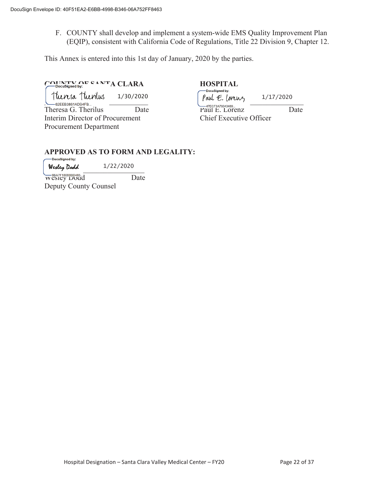F. COUNTY shall develop and implement a system-wide EMS Quality Improvement Plan (EQIP), consistent with California Code of Regulations, Title 22 Division 9, Chapter 12.

This Annex is entered into this 1st day of January, 2020 by the parties.

# **COUNTY OF SANTA CLARA** HOSPITAL **HOSPITAL**

 $\frac{\text{flux}}{\text{flux}}$   $\frac{\text{flux}}{\text{mass}}$   $\frac{1}{30/2020}$   $\frac{\text{flux}}{\text{bare}}$   $\frac{\text{flux}}{\text{mass}}$   $\frac{\text{flux}}{\text{radius}}$ Interim Director of Procurement Chief Executive Officer Procurement Department 1/30/2020

Theresa G. Therilus Date Paul E. Lorenz Date 1/17/2020

# **APPROVED AS TO FORM AND LEGALITY:**<br>
Pocusigned by:

Werley Dodd 1/22/2020

WESIEY DOUGLE Deputy County Counsel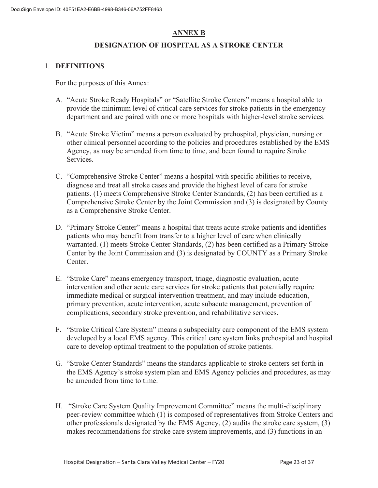#### **ANNEX B**

#### **DESIGNATION OF HOSPITAL AS A STROKE CENTER**

#### 1. **DEFINITIONS**

For the purposes of this Annex:

- A. "Acute Stroke Ready Hospitals" or "Satellite Stroke Centers" means a hospital able to provide the minimum level of critical care services for stroke patients in the emergency department and are paired with one or more hospitals with higher-level stroke services.
- B. "Acute Stroke Victim" means a person evaluated by prehospital, physician, nursing or other clinical personnel according to the policies and procedures established by the EMS Agency, as may be amended from time to time, and been found to require Stroke Services.
- C. "Comprehensive Stroke Center" means a hospital with specific abilities to receive, diagnose and treat all stroke cases and provide the highest level of care for stroke patients. (1) meets Comprehensive Stroke Center Standards, (2) has been certified as a Comprehensive Stroke Center by the Joint Commission and (3) is designated by County as a Comprehensive Stroke Center.
- D. "Primary Stroke Center" means a hospital that treats acute stroke patients and identifies patients who may benefit from transfer to a higher level of care when clinically warranted. (1) meets Stroke Center Standards, (2) has been certified as a Primary Stroke Center by the Joint Commission and (3) is designated by COUNTY as a Primary Stroke Center.
- E. "Stroke Care" means emergency transport, triage, diagnostic evaluation, acute intervention and other acute care services for stroke patients that potentially require immediate medical or surgical intervention treatment, and may include education, primary prevention, acute intervention, acute subacute management, prevention of complications, secondary stroke prevention, and rehabilitative services.
- F. "Stroke Critical Care System" means a subspecialty care component of the EMS system developed by a local EMS agency. This critical care system links prehospital and hospital care to develop optimal treatment to the population of stroke patients.
- G. "Stroke Center Standards" means the standards applicable to stroke centers set forth in the EMS Agency's stroke system plan and EMS Agency policies and procedures, as may be amended from time to time.
- H. "Stroke Care System Quality Improvement Committee" means the multi-disciplinary peer-review committee which (1) is composed of representatives from Stroke Centers and other professionals designated by the EMS Agency, (2) audits the stroke care system, (3) makes recommendations for stroke care system improvements, and (3) functions in an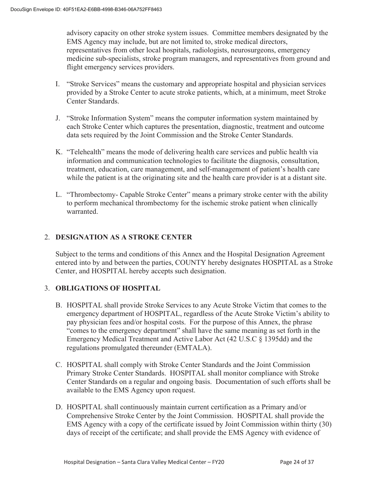advisory capacity on other stroke system issues. Committee members designated by the EMS Agency may include, but are not limited to, stroke medical directors, representatives from other local hospitals, radiologists, neurosurgeons, emergency medicine sub-specialists, stroke program managers, and representatives from ground and flight emergency services providers.

- I. "Stroke Services" means the customary and appropriate hospital and physician services provided by a Stroke Center to acute stroke patients, which, at a minimum, meet Stroke Center Standards.
- J. "Stroke Information System" means the computer information system maintained by each Stroke Center which captures the presentation, diagnostic, treatment and outcome data sets required by the Joint Commission and the Stroke Center Standards.
- K. "Telehealth" means the mode of delivering health care services and public health via information and communication technologies to facilitate the diagnosis, consultation, treatment, education, care management, and self-management of patient's health care while the patient is at the originating site and the health care provider is at a distant site.
- L. "Thrombectomy- Capable Stroke Center" means a primary stroke center with the ability to perform mechanical thrombectomy for the ischemic stroke patient when clinically warranted.

#### 2. **DESIGNATION AS A STROKE CENTER**

Subject to the terms and conditions of this Annex and the Hospital Designation Agreement entered into by and between the parties, COUNTY hereby designates HOSPITAL as a Stroke Center, and HOSPITAL hereby accepts such designation.

#### 3. **OBLIGATIONS OF HOSPITAL**

- B. HOSPITAL shall provide Stroke Services to any Acute Stroke Victim that comes to the emergency department of HOSPITAL, regardless of the Acute Stroke Victim's ability to pay physician fees and/or hospital costs. For the purpose of this Annex, the phrase "comes to the emergency department" shall have the same meaning as set forth in the Emergency Medical Treatment and Active Labor Act (42 U.S.C § 1395dd) and the regulations promulgated thereunder (EMTALA).
- C. HOSPITAL shall comply with Stroke Center Standards and the Joint Commission Primary Stroke Center Standards. HOSPITAL shall monitor compliance with Stroke Center Standards on a regular and ongoing basis. Documentation of such efforts shall be available to the EMS Agency upon request.
- D. HOSPITAL shall continuously maintain current certification as a Primary and/or Comprehensive Stroke Center by the Joint Commission. HOSPITAL shall provide the EMS Agency with a copy of the certificate issued by Joint Commission within thirty (30) days of receipt of the certificate; and shall provide the EMS Agency with evidence of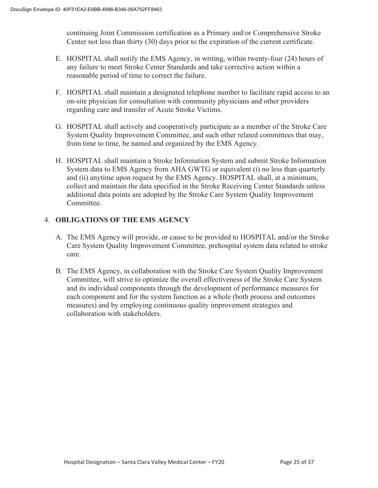continuing Joint Commission certification as a Primary and/or Comprehensive Stroke Center not less than thirty (30) days prior to the expiration of the current certificate.

- E. HOSPITAL shall notify the EMS Agency, in writing, within twenty-four (24) hours of any failure to meet Stroke Center Standards and take corrective action within a reasonable period of time to correct the failure.
- F. HOSPITAL shall maintain a designated telephone number to facilitate rapid access to an on-site physician for consultation with community physicians and other providers regarding care and transfer of Acute Stroke Victims.
- G. HOSPITAL shall actively and cooperatively participate as a member of the Stroke Care System Quality Improvement Committee, and such other related committees that may, from time to time, be named and organized by the EMS Agency.
- H. HOSPITAL shall maintain a Stroke Information System and submit Stroke Information System data to EMS Agency from AHA GWTG or equivalent (i) no less than quarterly and (ii) anytime upon request by the EMS Agency. HOSPITAL shall, at a minimum, collect and maintain the data specified in the Stroke Receiving Center Standards unless additional data points are adopted by the Stroke Care System Quality Improvement Committee.

#### 4. **OBLIGATIONS OF THE EMS AGENCY**

- A. The EMS Agency will provide, or cause to be provided to HOSPITAL and/or the Stroke Care System Quality Improvement Committee, prehospital system data related to stroke care.
- B. The EMS Agency, in collaboration with the Stroke Care System Quality Improvement Committee, will strive to optimize the overall effectiveness of the Stroke Care System and its individual components through the development of performance measures for each component and for the system function as a whole (both process and outcomes measures) and by employing continuous quality improvement strategies and collaboration with stakeholders.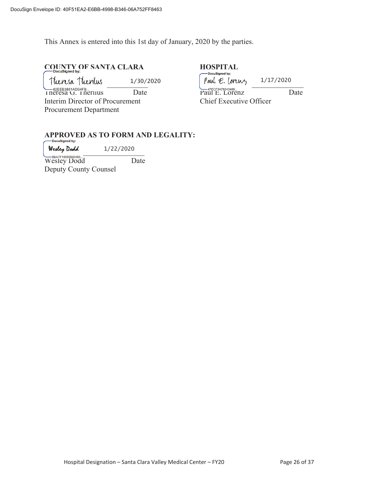This Annex is entered into this 1st day of January, 2020 by the parties.

# **COUNTY OF SANTA CLARA HOSPITAL**

|                                          |           | - Docusianea by.                   |           |
|------------------------------------------|-----------|------------------------------------|-----------|
| Theresa Theorius                         | 1/30/2020 | Paul E. Lorenz                     | 1/17/2020 |
| -62EEB3861ADB4FB<br>I neresa G. Therilus | Date      | -47ECF3A78343489<br>Paul E. Lorenz | Date      |
| Interim Director of Procurement          |           | Chief Executive Officer            |           |
| <b>Procurement Department</b>            |           |                                    |           |

# **APPROVED AS TO FORM AND LEGALITY:**

 $w$ erey Doaa bij 1/22/2020 1/22/2020

Wesley Dodd Date Deputy County Counsel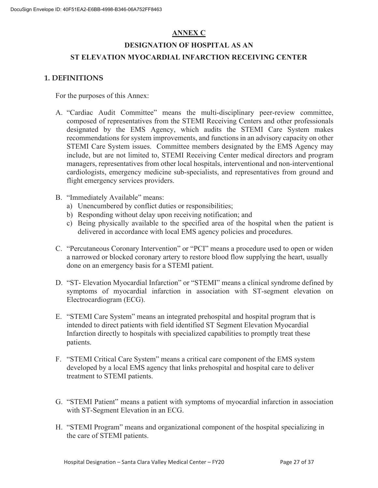#### **ANNEX C**

### **DESIGNATION OF HOSPITAL AS AN ST ELEVATION MYOCARDIAL INFARCTION RECEIVING CENTER**

#### **1. DEFINITIONS**

For the purposes of this Annex:

- A. "Cardiac Audit Committee" means the multi-disciplinary peer-review committee, composed of representatives from the STEMI Receiving Centers and other professionals designated by the EMS Agency, which audits the STEMI Care System makes recommendations for system improvements, and functions in an advisory capacity on other STEMI Care System issues. Committee members designated by the EMS Agency may include, but are not limited to, STEMI Receiving Center medical directors and program managers, representatives from other local hospitals, interventional and non-interventional cardiologists, emergency medicine sub-specialists, and representatives from ground and flight emergency services providers.
- B. "Immediately Available" means:
	- a) Unencumbered by conflict duties or responsibilities;
	- b) Responding without delay upon receiving notification; and
	- c) Being physically available to the specified area of the hospital when the patient is delivered in accordance with local EMS agency policies and procedures.
- C. "Percutaneous Coronary Intervention" or "PCI" means a procedure used to open or widen a narrowed or blocked coronary artery to restore blood flow supplying the heart, usually done on an emergency basis for a STEMI patient.
- D. "ST- Elevation Myocardial Infarction" or "STEMI" means a clinical syndrome defined by symptoms of myocardial infarction in association with ST-segment elevation on Electrocardiogram (ECG).
- E. "STEMI Care System" means an integrated prehospital and hospital program that is intended to direct patients with field identified ST Segment Elevation Myocardial Infarction directly to hospitals with specialized capabilities to promptly treat these patients.
- F. "STEMI Critical Care System" means a critical care component of the EMS system developed by a local EMS agency that links prehospital and hospital care to deliver treatment to STEMI patients.
- G. "STEMI Patient" means a patient with symptoms of myocardial infarction in association with ST-Segment Elevation in an ECG.
- H. "STEMI Program" means and organizational component of the hospital specializing in the care of STEMI patients.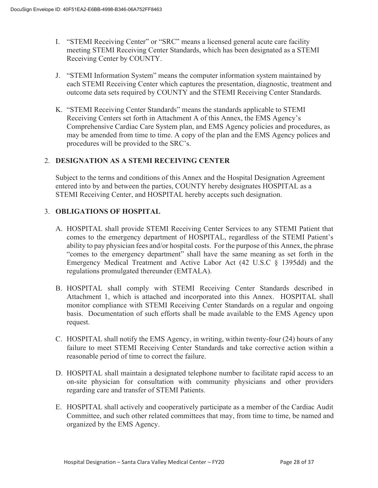- I. "STEMI Receiving Center" or "SRC" means a licensed general acute care facility meeting STEMI Receiving Center Standards, which has been designated as a STEMI Receiving Center by COUNTY.
- J. "STEMI Information System" means the computer information system maintained by each STEMI Receiving Center which captures the presentation, diagnostic, treatment and outcome data sets required by COUNTY and the STEMI Receiving Center Standards.
- K. "STEMI Receiving Center Standards" means the standards applicable to STEMI Receiving Centers set forth in Attachment A of this Annex, the EMS Agency's Comprehensive Cardiac Care System plan, and EMS Agency policies and procedures, as may be amended from time to time. A copy of the plan and the EMS Agency polices and procedures will be provided to the SRC's.

#### 2. **DESIGNATION AS A STEMI RECEIVING CENTER**

Subject to the terms and conditions of this Annex and the Hospital Designation Agreement entered into by and between the parties, COUNTY hereby designates HOSPITAL as a STEMI Receiving Center, and HOSPITAL hereby accepts such designation.

#### 3. **OBLIGATIONS OF HOSPITAL**

- A. HOSPITAL shall provide STEMI Receiving Center Services to any STEMI Patient that comes to the emergency department of HOSPITAL, regardless of the STEMI Patient's ability to pay physician fees and/or hospital costs. For the purpose of this Annex, the phrase "comes to the emergency department" shall have the same meaning as set forth in the Emergency Medical Treatment and Active Labor Act (42 U.S.C § 1395dd) and the regulations promulgated thereunder (EMTALA).
- B. HOSPITAL shall comply with STEMI Receiving Center Standards described in Attachment 1, which is attached and incorporated into this Annex. HOSPITAL shall monitor compliance with STEMI Receiving Center Standards on a regular and ongoing basis. Documentation of such efforts shall be made available to the EMS Agency upon request.
- C. HOSPITAL shall notify the EMS Agency, in writing, within twenty-four (24) hours of any failure to meet STEMI Receiving Center Standards and take corrective action within a reasonable period of time to correct the failure.
- D. HOSPITAL shall maintain a designated telephone number to facilitate rapid access to an on-site physician for consultation with community physicians and other providers regarding care and transfer of STEMI Patients.
- E. HOSPITAL shall actively and cooperatively participate as a member of the Cardiac Audit Committee, and such other related committees that may, from time to time, be named and organized by the EMS Agency.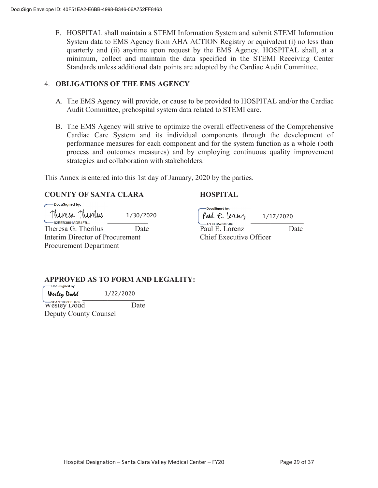F. HOSPITAL shall maintain a STEMI Information System and submit STEMI Information System data to EMS Agency from AHA ACTION Registry or equivalent (i) no less than quarterly and (ii) anytime upon request by the EMS Agency. HOSPITAL shall, at a minimum, collect and maintain the data specified in the STEMI Receiving Center Standards unless additional data points are adopted by the Cardiac Audit Committee.

#### 4. **OBLIGATIONS OF THE EMS AGENCY**

- A. The EMS Agency will provide, or cause to be provided to HOSPITAL and/or the Cardiac Audit Committee, prehospital system data related to STEMI care.
- B. The EMS Agency will strive to optimize the overall effectiveness of the Comprehensive Cardiac Care System and its individual components through the development of performance measures for each component and for the system function as a whole (both process and outcomes measures) and by employing continuous quality improvement strategies and collaboration with stakeholders.

This Annex is entered into this 1st day of January, 2020 by the parties.

#### **COUNTY OF SANTA CLARA HOSPITAL**

| DocuSigned by:                  |           |                                            |           |
|---------------------------------|-----------|--------------------------------------------|-----------|
| Theresa Theorius                | 1/30/2020 | DocuSigned by:<br>Paul $\epsilon$ . Lorenz |           |
| $-62$ FFB3861ADB4FB             |           | -47ECF3A78343489                           | 1/17/2020 |
| Theresa G. Therilus             | Date      | Paul E. Lorenz                             | Date      |
| Interim Director of Procurement |           | Chief Executive Officer                    |           |
| <b>Procurement Department</b>   |           |                                            |           |

# **APPROVED AS TO FORM AND LEGALITY:**

1/22/2020

 $Welly$   $\mu$   $\alpha \lambda$ Wesley Dodd Date Deputy County Counsel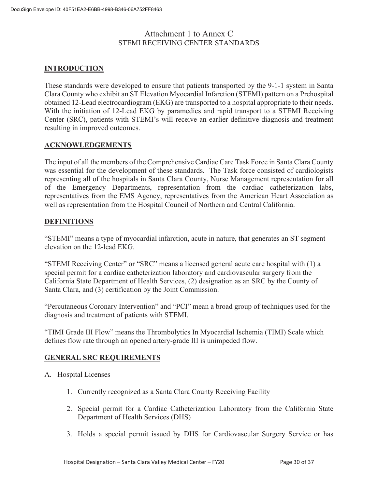#### Attachment 1 to Annex C STEMI RECEIVING CENTER STANDARDS

#### **INTRODUCTION**

These standards were developed to ensure that patients transported by the 9-1-1 system in Santa Clara County who exhibit an ST Elevation Myocardial Infarction (STEMI) pattern on a Prehospital obtained 12-Lead electrocardiogram (EKG) are transported to a hospital appropriate to their needs. With the initiation of 12-Lead EKG by paramedics and rapid transport to a STEMI Receiving Center (SRC), patients with STEMI's will receive an earlier definitive diagnosis and treatment resulting in improved outcomes.

#### **ACKNOWLEDGEMENTS**

The input of all the members of the Comprehensive Cardiac Care Task Force in Santa Clara County was essential for the development of these standards. The Task force consisted of cardiologists representing all of the hospitals in Santa Clara County, Nurse Management representation for all of the Emergency Departments, representation from the cardiac catheterization labs, representatives from the EMS Agency, representatives from the American Heart Association as well as representation from the Hospital Council of Northern and Central California.

#### **DEFINITIONS**

"STEMI" means a type of myocardial infarction, acute in nature, that generates an ST segment elevation on the 12-lead EKG.

"STEMI Receiving Center" or "SRC" means a licensed general acute care hospital with (1) a special permit for a cardiac catheterization laboratory and cardiovascular surgery from the California State Department of Health Services, (2) designation as an SRC by the County of Santa Clara, and (3) certification by the Joint Commission.

"Percutaneous Coronary Intervention" and "PCI" mean a broad group of techniques used for the diagnosis and treatment of patients with STEMI.

"TIMI Grade III Flow" means the Thrombolytics In Myocardial Ischemia (TIMI) Scale which defines flow rate through an opened artery-grade III is unimpeded flow.

#### **GENERAL SRC REQUIREMENTS**

- A. Hospital Licenses
	- 1. Currently recognized as a Santa Clara County Receiving Facility
	- 2. Special permit for a Cardiac Catheterization Laboratory from the California State Department of Health Services (DHS)
	- 3. Holds a special permit issued by DHS for Cardiovascular Surgery Service or has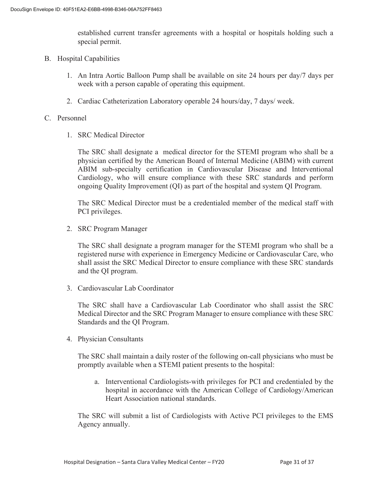established current transfer agreements with a hospital or hospitals holding such a special permit.

- B. Hospital Capabilities
	- 1. An Intra Aortic Balloon Pump shall be available on site 24 hours per day/7 days per week with a person capable of operating this equipment.
	- 2. Cardiac Catheterization Laboratory operable 24 hours/day, 7 days/ week.

#### C. Personnel

1. SRC Medical Director

The SRC shall designate a medical director for the STEMI program who shall be a physician certified by the American Board of Internal Medicine (ABIM) with current ABIM sub-specialty certification in Cardiovascular Disease and Interventional Cardiology, who will ensure compliance with these SRC standards and perform ongoing Quality Improvement (QI) as part of the hospital and system QI Program.

The SRC Medical Director must be a credentialed member of the medical staff with PCI privileges.

2. SRC Program Manager

The SRC shall designate a program manager for the STEMI program who shall be a registered nurse with experience in Emergency Medicine or Cardiovascular Care, who shall assist the SRC Medical Director to ensure compliance with these SRC standards and the QI program.

3. Cardiovascular Lab Coordinator

The SRC shall have a Cardiovascular Lab Coordinator who shall assist the SRC Medical Director and the SRC Program Manager to ensure compliance with these SRC Standards and the QI Program.

4. Physician Consultants

The SRC shall maintain a daily roster of the following on-call physicians who must be promptly available when a STEMI patient presents to the hospital:

a. Interventional Cardiologists-with privileges for PCI and credentialed by the hospital in accordance with the American College of Cardiology/American Heart Association national standards.

The SRC will submit a list of Cardiologists with Active PCI privileges to the EMS Agency annually.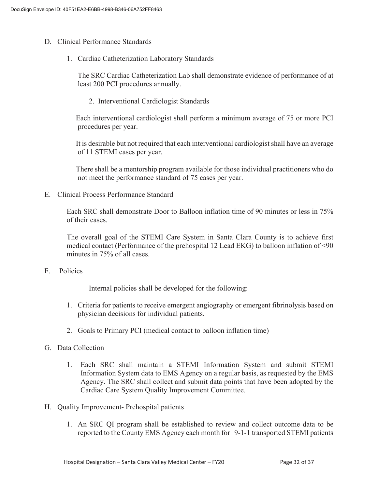- D. Clinical Performance Standards
	- 1. Cardiac Catheterization Laboratory Standards

The SRC Cardiac Catheterization Lab shall demonstrate evidence of performance of at least 200 PCI procedures annually.

2. Interventional Cardiologist Standards

 Each interventional cardiologist shall perform a minimum average of 75 or more PCI procedures per year.

 It is desirable but not required that each interventional cardiologist shall have an average of 11 STEMI cases per year.

 There shall be a mentorship program available for those individual practitioners who do not meet the performance standard of 75 cases per year.

E. Clinical Process Performance Standard

Each SRC shall demonstrate Door to Balloon inflation time of 90 minutes or less in 75% of their cases.

The overall goal of the STEMI Care System in Santa Clara County is to achieve first medical contact (Performance of the prehospital 12 Lead EKG) to balloon inflation of <90 minutes in 75% of all cases.

F. Policies

Internal policies shall be developed for the following:

- 1. Criteria for patients to receive emergent angiography or emergent fibrinolysis based on physician decisions for individual patients.
- 2. Goals to Primary PCI (medical contact to balloon inflation time)
- G. Data Collection
	- 1. Each SRC shall maintain a STEMI Information System and submit STEMI Information System data to EMS Agency on a regular basis, as requested by the EMS Agency. The SRC shall collect and submit data points that have been adopted by the Cardiac Care System Quality Improvement Committee.
- H. Quality Improvement- Prehospital patients
	- 1. An SRC QI program shall be established to review and collect outcome data to be reported to the County EMS Agency each month for 9-1-1 transported STEMI patients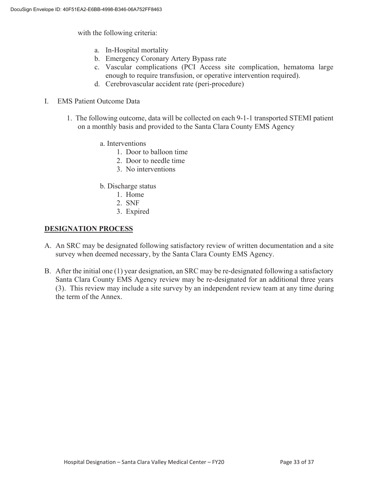with the following criteria:

- a. In-Hospital mortality
- b. Emergency Coronary Artery Bypass rate
- c. Vascular complications (PCI Access site complication, hematoma large enough to require transfusion, or operative intervention required).
- d. Cerebrovascular accident rate (peri-procedure)
- I. EMS Patient Outcome Data
	- 1. The following outcome, data will be collected on each 9-1-1 transported STEMI patient on a monthly basis and provided to the Santa Clara County EMS Agency
		- a. Interventions
			- 1. Door to balloon time
			- 2. Door to needle time
			- 3. No interventions
		- b. Discharge status
			- 1. Home
			- 2. SNF
			- 3. Expired

#### **DESIGNATION PROCESS**

- A. An SRC may be designated following satisfactory review of written documentation and a site survey when deemed necessary, by the Santa Clara County EMS Agency.
- B. After the initial one (1) year designation, an SRC may be re-designated following a satisfactory Santa Clara County EMS Agency review may be re-designated for an additional three years (3). This review may include a site survey by an independent review team at any time during the term of the Annex.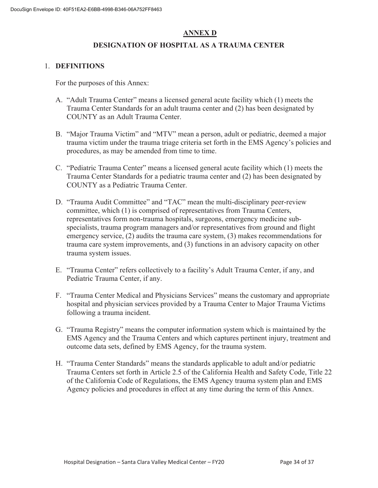### **ANNEX D**

#### **DESIGNATION OF HOSPITAL AS A TRAUMA CENTER**

#### 1. **DEFINITIONS**

For the purposes of this Annex:

- A. "Adult Trauma Center" means a licensed general acute facility which (1) meets the Trauma Center Standards for an adult trauma center and (2) has been designated by COUNTY as an Adult Trauma Center.
- B. "Major Trauma Victim" and "MTV" mean a person, adult or pediatric, deemed a major trauma victim under the trauma triage criteria set forth in the EMS Agency's policies and procedures, as may be amended from time to time.
- C. "Pediatric Trauma Center" means a licensed general acute facility which (1) meets the Trauma Center Standards for a pediatric trauma center and (2) has been designated by COUNTY as a Pediatric Trauma Center.
- D. "Trauma Audit Committee" and "TAC" mean the multi-disciplinary peer-review committee, which (1) is comprised of representatives from Trauma Centers, representatives form non-trauma hospitals, surgeons, emergency medicine subspecialists, trauma program managers and/or representatives from ground and flight emergency service, (2) audits the trauma care system, (3) makes recommendations for trauma care system improvements, and (3) functions in an advisory capacity on other trauma system issues.
- E. "Trauma Center" refers collectively to a facility's Adult Trauma Center, if any, and Pediatric Trauma Center, if any.
- F. "Trauma Center Medical and Physicians Services" means the customary and appropriate hospital and physician services provided by a Trauma Center to Major Trauma Victims following a trauma incident.
- G. "Trauma Registry" means the computer information system which is maintained by the EMS Agency and the Trauma Centers and which captures pertinent injury, treatment and outcome data sets, defined by EMS Agency, for the trauma system.
- H. "Trauma Center Standards" means the standards applicable to adult and/or pediatric Trauma Centers set forth in Article 2.5 of the California Health and Safety Code, Title 22 of the California Code of Regulations, the EMS Agency trauma system plan and EMS Agency policies and procedures in effect at any time during the term of this Annex.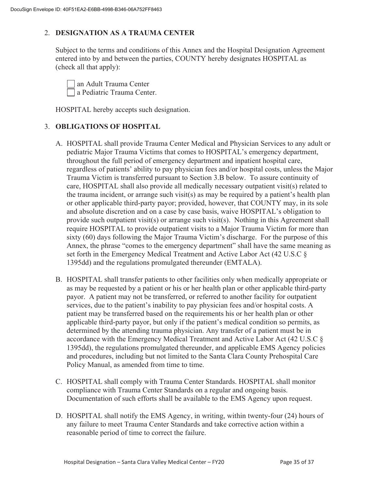#### 2. **DESIGNATION AS A TRAUMA CENTER**

Subject to the terms and conditions of this Annex and the Hospital Designation Agreement entered into by and between the parties, COUNTY hereby designates HOSPITAL as (check all that apply):

 an Adult Trauma Center a Pediatric Trauma Center.

HOSPITAL hereby accepts such designation.

#### 3. **OBLIGATIONS OF HOSPITAL**

- A. HOSPITAL shall provide Trauma Center Medical and Physician Services to any adult or pediatric Major Trauma Victims that comes to HOSPITAL's emergency department, throughout the full period of emergency department and inpatient hospital care, regardless of patients' ability to pay physician fees and/or hospital costs, unless the Major Trauma Victim is transferred pursuant to Section 3.B below. To assure continuity of care, HOSPITAL shall also provide all medically necessary outpatient visit(s) related to the trauma incident, or arrange such visit(s) as may be required by a patient's health plan or other applicable third-party payor; provided, however, that COUNTY may, in its sole and absolute discretion and on a case by case basis, waive HOSPITAL's obligation to provide such outpatient visit(s) or arrange such visit(s). Nothing in this Agreement shall require HOSPITAL to provide outpatient visits to a Major Trauma Victim for more than sixty (60) days following the Major Trauma Victim's discharge. For the purpose of this Annex, the phrase "comes to the emergency department" shall have the same meaning as set forth in the Emergency Medical Treatment and Active Labor Act (42 U.S.C § 1395dd) and the regulations promulgated thereunder (EMTALA).
- B. HOSPITAL shall transfer patients to other facilities only when medically appropriate or as may be requested by a patient or his or her health plan or other applicable third-party payor. A patient may not be transferred, or referred to another facility for outpatient services, due to the patient's inability to pay physician fees and/or hospital costs. A patient may be transferred based on the requirements his or her health plan or other applicable third-party payor, but only if the patient's medical condition so permits, as determined by the attending trauma physician. Any transfer of a patient must be in accordance with the Emergency Medical Treatment and Active Labor Act (42 U.S.C § 1395dd), the regulations promulgated thereunder, and applicable EMS Agency policies and procedures, including but not limited to the Santa Clara County Prehospital Care Policy Manual, as amended from time to time.
- C. HOSPITAL shall comply with Trauma Center Standards. HOSPITAL shall monitor compliance with Trauma Center Standards on a regular and ongoing basis. Documentation of such efforts shall be available to the EMS Agency upon request.
- D. HOSPITAL shall notify the EMS Agency, in writing, within twenty-four (24) hours of any failure to meet Trauma Center Standards and take corrective action within a reasonable period of time to correct the failure.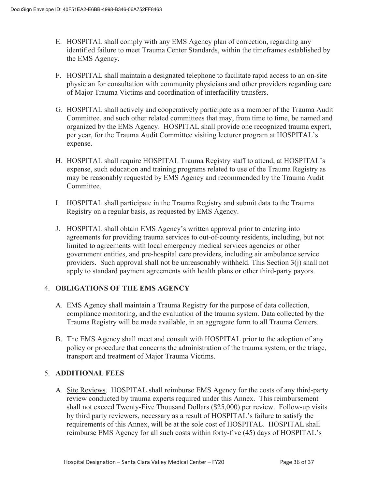- E. HOSPITAL shall comply with any EMS Agency plan of correction, regarding any identified failure to meet Trauma Center Standards, within the timeframes established by the EMS Agency.
- F. HOSPITAL shall maintain a designated telephone to facilitate rapid access to an on-site physician for consultation with community physicians and other providers regarding care of Major Trauma Victims and coordination of interfacility transfers.
- G. HOSPITAL shall actively and cooperatively participate as a member of the Trauma Audit Committee, and such other related committees that may, from time to time, be named and organized by the EMS Agency. HOSPITAL shall provide one recognized trauma expert, per year, for the Trauma Audit Committee visiting lecturer program at HOSPITAL's expense.
- H. HOSPITAL shall require HOSPITAL Trauma Registry staff to attend, at HOSPITAL's expense, such education and training programs related to use of the Trauma Registry as may be reasonably requested by EMS Agency and recommended by the Trauma Audit Committee.
- I. HOSPITAL shall participate in the Trauma Registry and submit data to the Trauma Registry on a regular basis, as requested by EMS Agency.
- J. HOSPITAL shall obtain EMS Agency's written approval prior to entering into agreements for providing trauma services to out-of-county residents, including, but not limited to agreements with local emergency medical services agencies or other government entities, and pre-hospital care providers, including air ambulance service providers. Such approval shall not be unreasonably withheld. This Section  $3(i)$  shall not apply to standard payment agreements with health plans or other third-party payors.

#### 4. **OBLIGATIONS OF THE EMS AGENCY**

- A. EMS Agency shall maintain a Trauma Registry for the purpose of data collection, compliance monitoring, and the evaluation of the trauma system. Data collected by the Trauma Registry will be made available, in an aggregate form to all Trauma Centers.
- B. The EMS Agency shall meet and consult with HOSPITAL prior to the adoption of any policy or procedure that concerns the administration of the trauma system, or the triage, transport and treatment of Major Trauma Victims.

#### 5. **ADDITIONAL FEES**

A. Site Reviews. HOSPITAL shall reimburse EMS Agency for the costs of any third-party review conducted by trauma experts required under this Annex. This reimbursement shall not exceed Twenty-Five Thousand Dollars (\$25,000) per review. Follow-up visits by third party reviewers, necessary as a result of HOSPITAL's failure to satisfy the requirements of this Annex, will be at the sole cost of HOSPITAL. HOSPITAL shall reimburse EMS Agency for all such costs within forty-five (45) days of HOSPITAL's